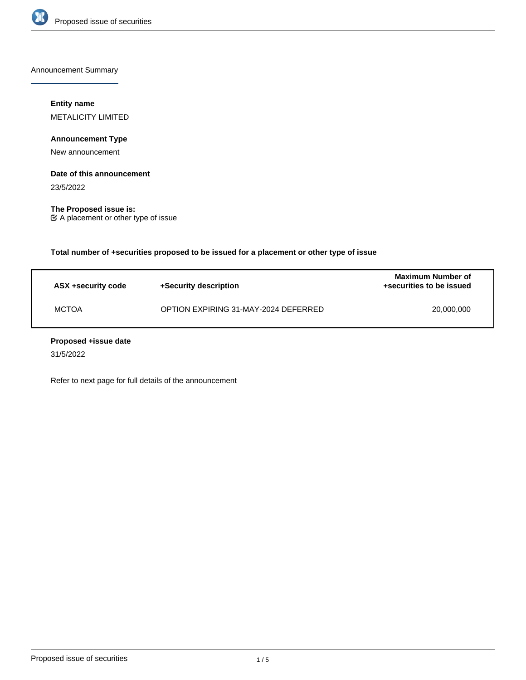

Announcement Summary

## **Entity name**

METALICITY LIMITED

## **Announcement Type**

New announcement

#### **Date of this announcement**

23/5/2022

**The Proposed issue is:** A placement or other type of issue

**Total number of +securities proposed to be issued for a placement or other type of issue**

| ASX +security code | +Security description                | Maximum Number of<br>+securities to be issued |
|--------------------|--------------------------------------|-----------------------------------------------|
| <b>MCTOA</b>       | OPTION EXPIRING 31-MAY-2024 DEFERRED | 20.000.000                                    |

### **Proposed +issue date**

31/5/2022

Refer to next page for full details of the announcement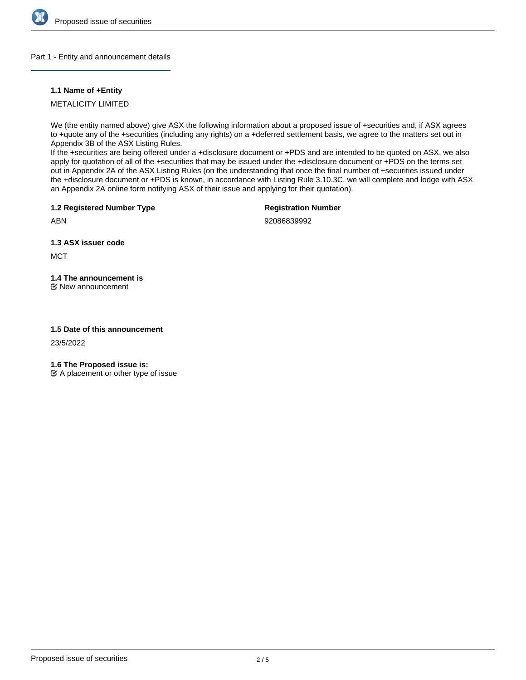

#### Part 1 - Entity and announcement details

### **1.1 Name of +Entity**

METALICITY LIMITED

We (the entity named above) give ASX the following information about a proposed issue of +securities and, if ASX agrees to +quote any of the +securities (including any rights) on a +deferred settlement basis, we agree to the matters set out in Appendix 3B of the ASX Listing Rules.

If the +securities are being offered under a +disclosure document or +PDS and are intended to be quoted on ASX, we also apply for quotation of all of the +securities that may be issued under the +disclosure document or +PDS on the terms set out in Appendix 2A of the ASX Listing Rules (on the understanding that once the final number of +securities issued under the +disclosure document or +PDS is known, in accordance with Listing Rule 3.10.3C, we will complete and lodge with ASX an Appendix 2A online form notifying ASX of their issue and applying for their quotation).

**1.2 Registered Number Type**

**Registration Number**

ABN

92086839992

**1.3 ASX issuer code**

**MCT** 

# **1.4 The announcement is**

New announcement

#### **1.5 Date of this announcement**

23/5/2022

**1.6 The Proposed issue is:**

 $\mathfrak{C}$  A placement or other type of issue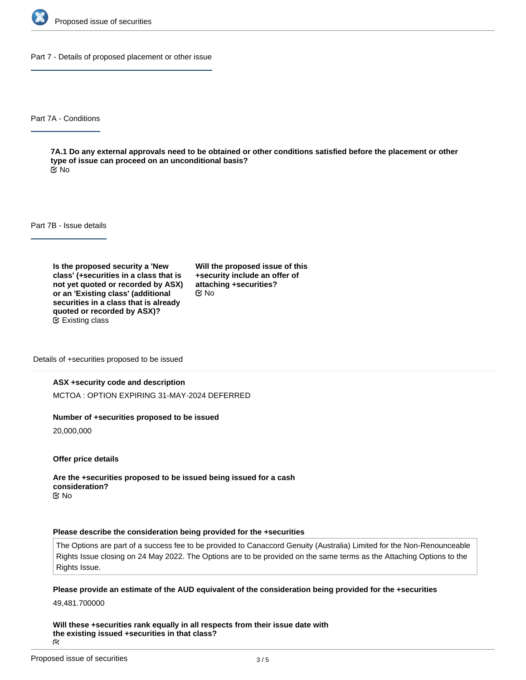

Part 7 - Details of proposed placement or other issue

Part 7A - Conditions

**7A.1 Do any external approvals need to be obtained or other conditions satisfied before the placement or other type of issue can proceed on an unconditional basis?** No

Part 7B - Issue details

**Is the proposed security a 'New class' (+securities in a class that is not yet quoted or recorded by ASX) or an 'Existing class' (additional securities in a class that is already quoted or recorded by ASX)?** Existing class

**Will the proposed issue of this +security include an offer of attaching +securities?** No

Details of +securities proposed to be issued

#### **ASX +security code and description**

MCTOA : OPTION EXPIRING 31-MAY-2024 DEFERRED

#### **Number of +securities proposed to be issued**

20,000,000

**Offer price details**

**Are the +securities proposed to be issued being issued for a cash consideration?** No

#### **Please describe the consideration being provided for the +securities**

The Options are part of a success fee to be provided to Canaccord Genuity (Australia) Limited for the Non-Renounceable Rights Issue closing on 24 May 2022. The Options are to be provided on the same terms as the Attaching Options to the Rights Issue.

**Please provide an estimate of the AUD equivalent of the consideration being provided for the +securities**

49,481.700000

**Will these +securities rank equally in all respects from their issue date with the existing issued +securities in that class?** ΓV.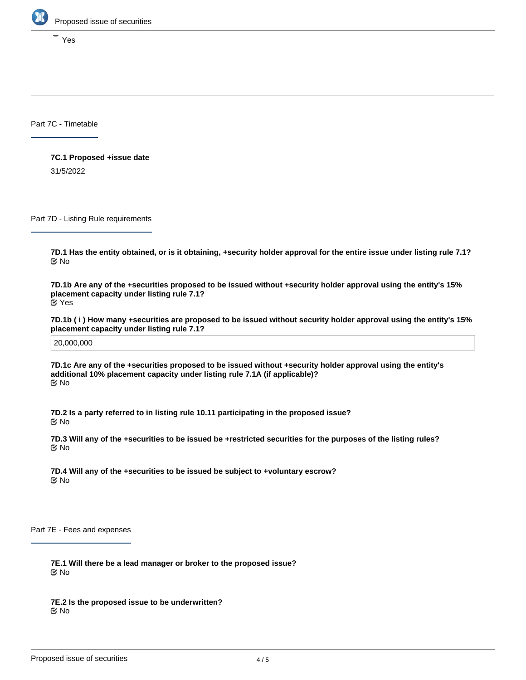

Yes

Part 7C - Timetable

**7C.1 Proposed +issue date**

31/5/2022

Part 7D - Listing Rule requirements

**7D.1 Has the entity obtained, or is it obtaining, +security holder approval for the entire issue under listing rule 7.1?** No

**7D.1b Are any of the +securities proposed to be issued without +security holder approval using the entity's 15% placement capacity under listing rule 7.1?** Yes

**7D.1b ( i ) How many +securities are proposed to be issued without security holder approval using the entity's 15% placement capacity under listing rule 7.1?**

20,000,000

**7D.1c Are any of the +securities proposed to be issued without +security holder approval using the entity's additional 10% placement capacity under listing rule 7.1A (if applicable)?** No

**7D.2 Is a party referred to in listing rule 10.11 participating in the proposed issue?** No

**7D.3 Will any of the +securities to be issued be +restricted securities for the purposes of the listing rules?** No

**7D.4 Will any of the +securities to be issued be subject to +voluntary escrow?** No

Part 7E - Fees and expenses

**7E.1 Will there be a lead manager or broker to the proposed issue?** No

**7E.2 Is the proposed issue to be underwritten?** No